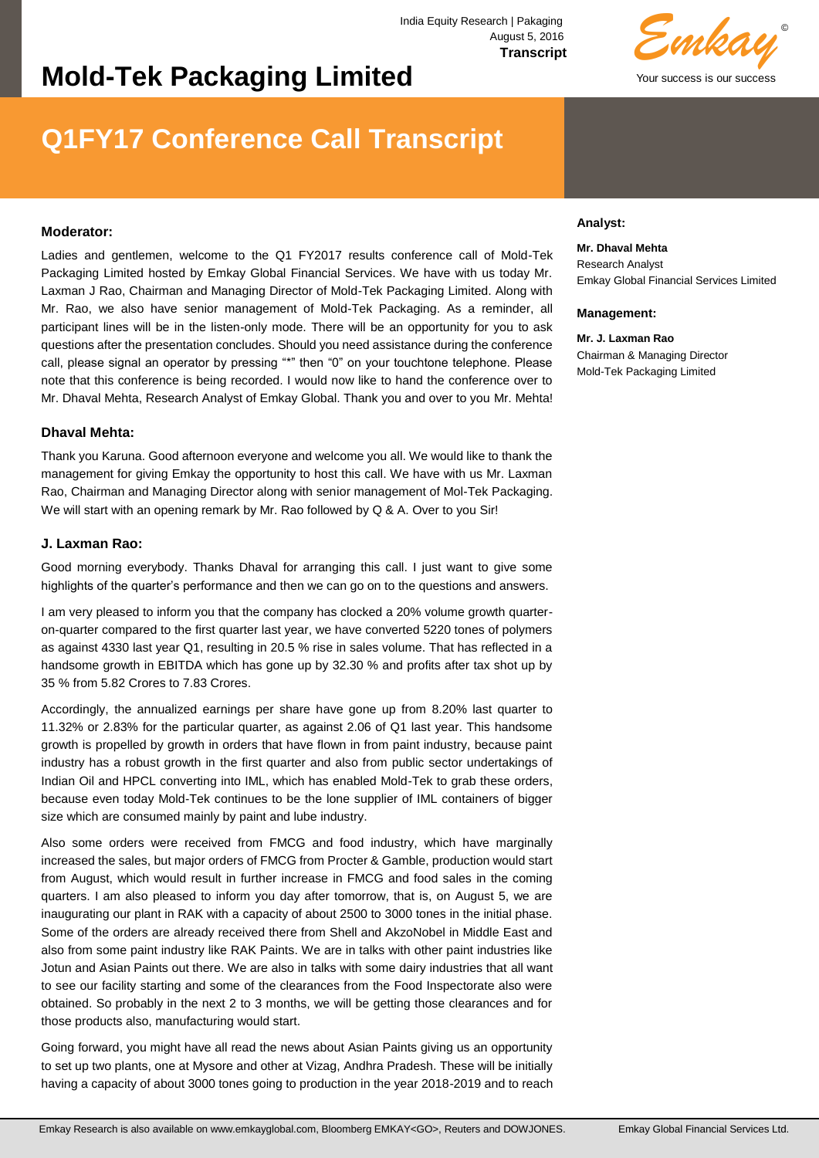# **Mold-Tek Packaging Limited**

# © Your success is our success *Emkay*

# **Q1FY17 Conference Call Transcript**

## **Moderator:**

Ladies and gentlemen, welcome to the Q1 FY2017 results conference call of Mold-Tek Packaging Limited hosted by Emkay Global Financial Services. We have with us today Mr. Laxman J Rao, Chairman and Managing Director of Mold-Tek Packaging Limited. Along with Mr. Rao, we also have senior management of Mold-Tek Packaging. As a reminder, all participant lines will be in the listen-only mode. There will be an opportunity for you to ask questions after the presentation concludes. Should you need assistance during the conference call, please signal an operator by pressing "\*" then "0" on your touchtone telephone. Please note that this conference is being recorded. I would now like to hand the conference over to Mr. Dhaval Mehta, Research Analyst of Emkay Global. Thank you and over to you Mr. Mehta!

## **Dhaval Mehta:**

Thank you Karuna. Good afternoon everyone and welcome you all. We would like to thank the management for giving Emkay the opportunity to host this call. We have with us Mr. Laxman Rao, Chairman and Managing Director along with senior management of Mol-Tek Packaging. We will start with an opening remark by Mr. Rao followed by Q & A. Over to you Sir!

## **J. Laxman Rao:**

Good morning everybody. Thanks Dhaval for arranging this call. I just want to give some highlights of the quarter's performance and then we can go on to the questions and answers.

I am very pleased to inform you that the company has clocked a 20% volume growth quarteron-quarter compared to the first quarter last year, we have converted 5220 tones of polymers as against 4330 last year Q1, resulting in 20.5 % rise in sales volume. That has reflected in a handsome growth in EBITDA which has gone up by 32.30 % and profits after tax shot up by 35 % from 5.82 Crores to 7.83 Crores.

Accordingly, the annualized earnings per share have gone up from 8.20% last quarter to 11.32% or 2.83% for the particular quarter, as against 2.06 of Q1 last year. This handsome growth is propelled by growth in orders that have flown in from paint industry, because paint industry has a robust growth in the first quarter and also from public sector undertakings of Indian Oil and HPCL converting into IML, which has enabled Mold-Tek to grab these orders, because even today Mold-Tek continues to be the lone supplier of IML containers of bigger size which are consumed mainly by paint and lube industry.

Also some orders were received from FMCG and food industry, which have marginally increased the sales, but major orders of FMCG from Procter & Gamble, production would start from August, which would result in further increase in FMCG and food sales in the coming quarters. I am also pleased to inform you day after tomorrow, that is, on August 5, we are inaugurating our plant in RAK with a capacity of about 2500 to 3000 tones in the initial phase. Some of the orders are already received there from Shell and AkzoNobel in Middle East and also from some paint industry like RAK Paints. We are in talks with other paint industries like Jotun and Asian Paints out there. We are also in talks with some dairy industries that all want to see our facility starting and some of the clearances from the Food Inspectorate also were obtained. So probably in the next 2 to 3 months, we will be getting those clearances and for those products also, manufacturing would start.

Going forward, you might have all read the news about Asian Paints giving us an opportunity to set up two plants, one at Mysore and other at Vizag, Andhra Pradesh. These will be initially having a capacity of about 3000 tones going to production in the year 2018-2019 and to reach

## **Analyst:**

# **Mr. Dhaval Mehta**

Research Analyst Emkay Global Financial Services Limited

#### **Management:**

**Mr. J. Laxman Rao** Chairman & Managing Director Mold-Tek Packaging Limited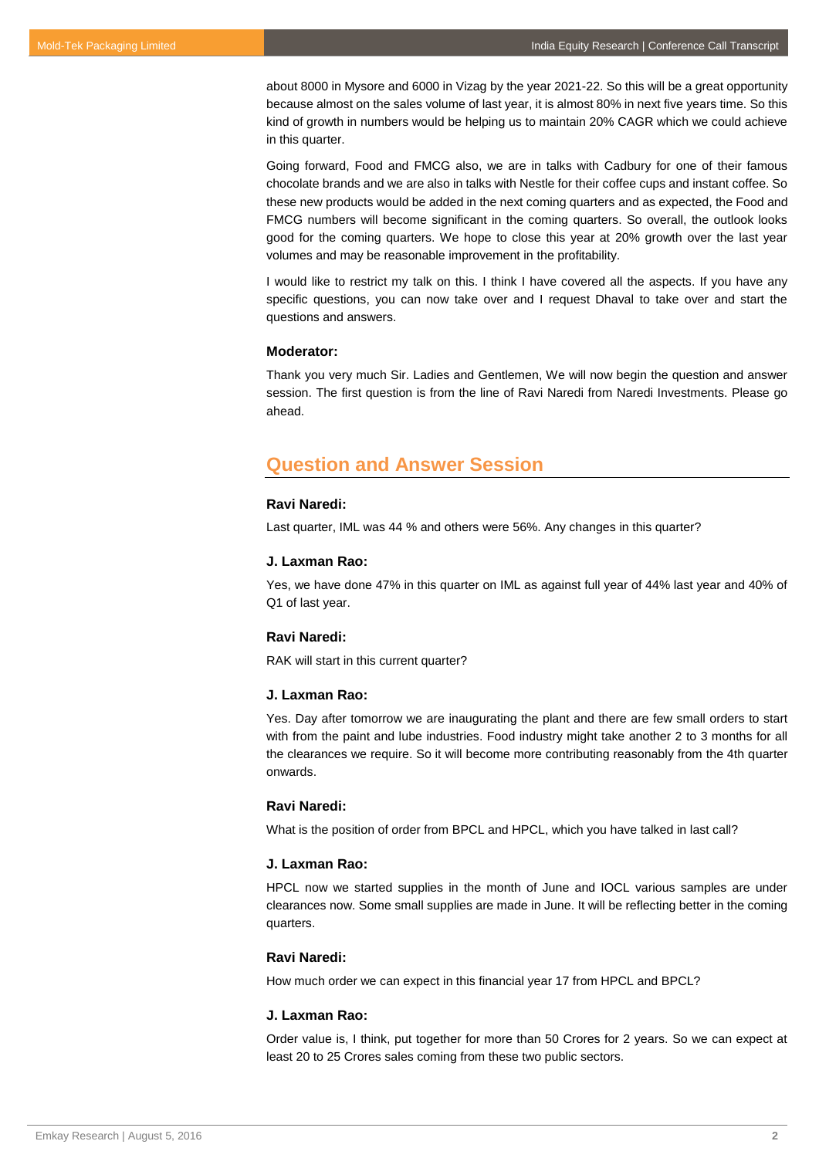about 8000 in Mysore and 6000 in Vizag by the year 2021-22. So this will be a great opportunity because almost on the sales volume of last year, it is almost 80% in next five years time. So this kind of growth in numbers would be helping us to maintain 20% CAGR which we could achieve in this quarter.

Going forward, Food and FMCG also, we are in talks with Cadbury for one of their famous chocolate brands and we are also in talks with Nestle for their coffee cups and instant coffee. So these new products would be added in the next coming quarters and as expected, the Food and FMCG numbers will become significant in the coming quarters. So overall, the outlook looks good for the coming quarters. We hope to close this year at 20% growth over the last year volumes and may be reasonable improvement in the profitability.

I would like to restrict my talk on this. I think I have covered all the aspects. If you have any specific questions, you can now take over and I request Dhaval to take over and start the questions and answers.

## **Moderator:**

Thank you very much Sir. Ladies and Gentlemen, We will now begin the question and answer session. The first question is from the line of Ravi Naredi from Naredi Investments. Please go ahead.

## **Question and Answer Session**

## **Ravi Naredi:**

Last quarter, IML was 44 % and others were 56%. Any changes in this quarter?

#### **J. Laxman Rao:**

Yes, we have done 47% in this quarter on IML as against full year of 44% last year and 40% of Q1 of last year.

## **Ravi Naredi:**

RAK will start in this current quarter?

#### **J. Laxman Rao:**

Yes. Day after tomorrow we are inaugurating the plant and there are few small orders to start with from the paint and lube industries. Food industry might take another 2 to 3 months for all the clearances we require. So it will become more contributing reasonably from the 4th quarter onwards.

## **Ravi Naredi:**

What is the position of order from BPCL and HPCL, which you have talked in last call?

## **J. Laxman Rao:**

HPCL now we started supplies in the month of June and IOCL various samples are under clearances now. Some small supplies are made in June. It will be reflecting better in the coming quarters.

## **Ravi Naredi:**

How much order we can expect in this financial year 17 from HPCL and BPCL?

## **J. Laxman Rao:**

Order value is, I think, put together for more than 50 Crores for 2 years. So we can expect at least 20 to 25 Crores sales coming from these two public sectors.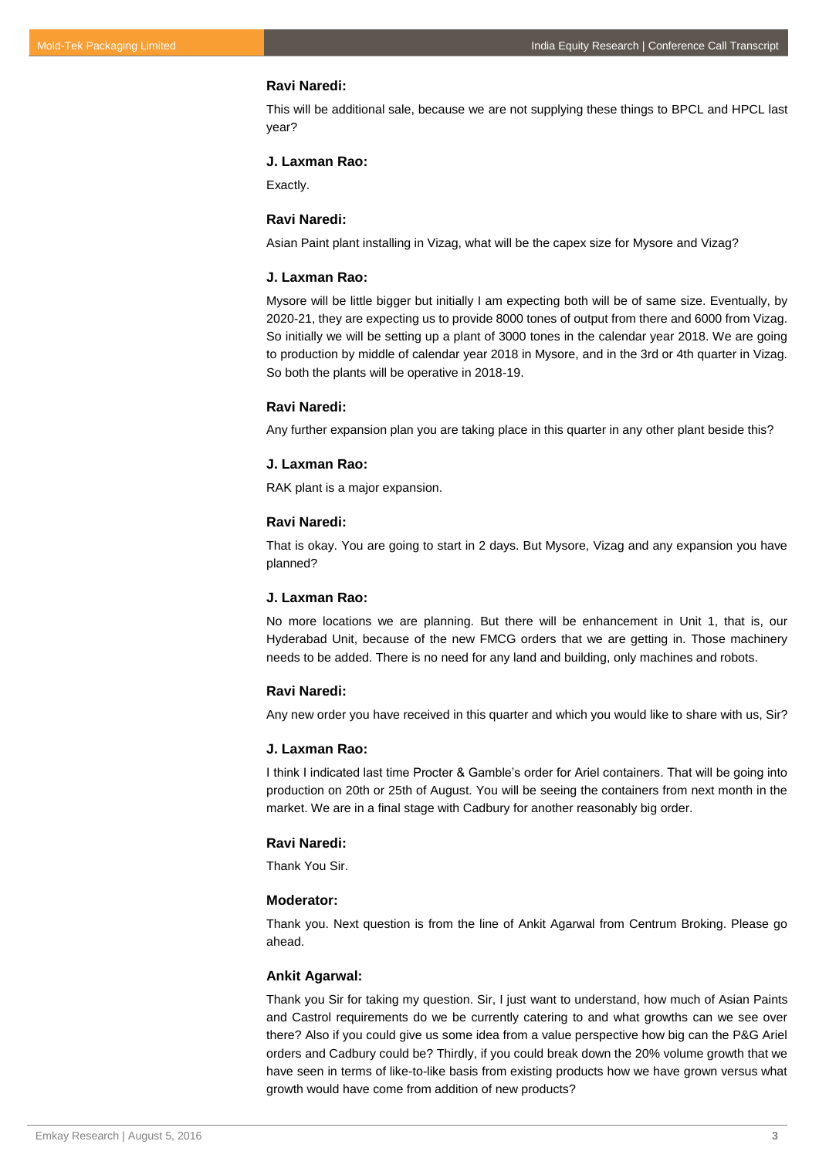## **Ravi Naredi:**

This will be additional sale, because we are not supplying these things to BPCL and HPCL last year?

## **J. Laxman Rao:**

Exactly.

## **Ravi Naredi:**

Asian Paint plant installing in Vizag, what will be the capex size for Mysore and Vizag?

#### **J. Laxman Rao:**

Mysore will be little bigger but initially I am expecting both will be of same size. Eventually, by 2020-21, they are expecting us to provide 8000 tones of output from there and 6000 from Vizag. So initially we will be setting up a plant of 3000 tones in the calendar year 2018. We are going to production by middle of calendar year 2018 in Mysore, and in the 3rd or 4th quarter in Vizag. So both the plants will be operative in 2018-19.

## **Ravi Naredi:**

Any further expansion plan you are taking place in this quarter in any other plant beside this?

#### **J. Laxman Rao:**

RAK plant is a major expansion.

## **Ravi Naredi:**

That is okay. You are going to start in 2 days. But Mysore, Vizag and any expansion you have planned?

#### **J. Laxman Rao:**

No more locations we are planning. But there will be enhancement in Unit 1, that is, our Hyderabad Unit, because of the new FMCG orders that we are getting in. Those machinery needs to be added. There is no need for any land and building, only machines and robots.

## **Ravi Naredi:**

Any new order you have received in this quarter and which you would like to share with us, Sir?

## **J. Laxman Rao:**

I think I indicated last time Procter & Gamble's order for Ariel containers. That will be going into production on 20th or 25th of August. You will be seeing the containers from next month in the market. We are in a final stage with Cadbury for another reasonably big order.

## **Ravi Naredi:**

Thank You Sir.

## **Moderator:**

Thank you. Next question is from the line of Ankit Agarwal from Centrum Broking. Please go ahead.

#### **Ankit Agarwal:**

Thank you Sir for taking my question. Sir, I just want to understand, how much of Asian Paints and Castrol requirements do we be currently catering to and what growths can we see over there? Also if you could give us some idea from a value perspective how big can the P&G Ariel orders and Cadbury could be? Thirdly, if you could break down the 20% volume growth that we have seen in terms of like-to-like basis from existing products how we have grown versus what growth would have come from addition of new products?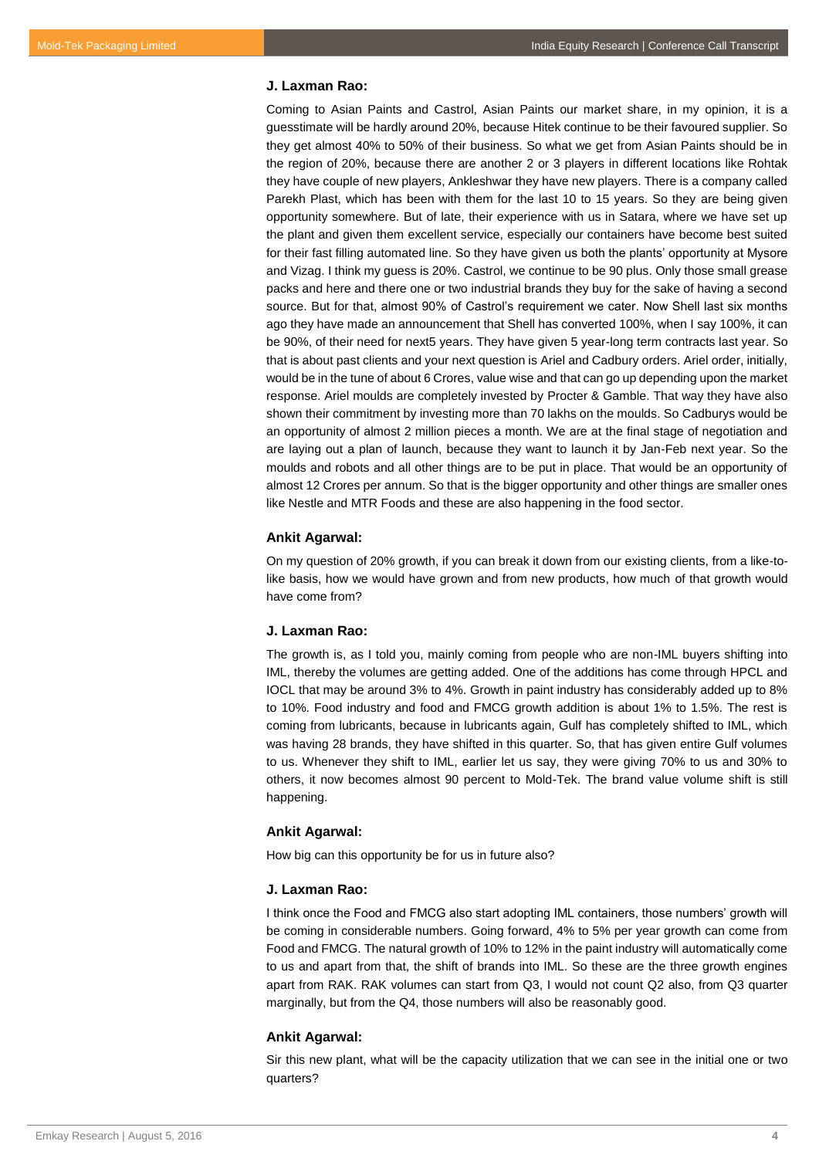## **J. Laxman Rao:**

Coming to Asian Paints and Castrol, Asian Paints our market share, in my opinion, it is a guesstimate will be hardly around 20%, because Hitek continue to be their favoured supplier. So they get almost 40% to 50% of their business. So what we get from Asian Paints should be in the region of 20%, because there are another 2 or 3 players in different locations like Rohtak they have couple of new players, Ankleshwar they have new players. There is a company called Parekh Plast, which has been with them for the last 10 to 15 years. So they are being given opportunity somewhere. But of late, their experience with us in Satara, where we have set up the plant and given them excellent service, especially our containers have become best suited for their fast filling automated line. So they have given us both the plants' opportunity at Mysore and Vizag. I think my guess is 20%. Castrol, we continue to be 90 plus. Only those small grease packs and here and there one or two industrial brands they buy for the sake of having a second source. But for that, almost 90% of Castrol's requirement we cater. Now Shell last six months ago they have made an announcement that Shell has converted 100%, when I say 100%, it can be 90%, of their need for next5 years. They have given 5 year-long term contracts last year. So that is about past clients and your next question is Ariel and Cadbury orders. Ariel order, initially, would be in the tune of about 6 Crores, value wise and that can go up depending upon the market response. Ariel moulds are completely invested by Procter & Gamble. That way they have also shown their commitment by investing more than 70 lakhs on the moulds. So Cadburys would be an opportunity of almost 2 million pieces a month. We are at the final stage of negotiation and are laying out a plan of launch, because they want to launch it by Jan-Feb next year. So the moulds and robots and all other things are to be put in place. That would be an opportunity of almost 12 Crores per annum. So that is the bigger opportunity and other things are smaller ones like Nestle and MTR Foods and these are also happening in the food sector.

## **Ankit Agarwal:**

On my question of 20% growth, if you can break it down from our existing clients, from a like-tolike basis, how we would have grown and from new products, how much of that growth would have come from?

## **J. Laxman Rao:**

The growth is, as I told you, mainly coming from people who are non-IML buyers shifting into IML, thereby the volumes are getting added. One of the additions has come through HPCL and IOCL that may be around 3% to 4%. Growth in paint industry has considerably added up to 8% to 10%. Food industry and food and FMCG growth addition is about 1% to 1.5%. The rest is coming from lubricants, because in lubricants again, Gulf has completely shifted to IML, which was having 28 brands, they have shifted in this quarter. So, that has given entire Gulf volumes to us. Whenever they shift to IML, earlier let us say, they were giving 70% to us and 30% to others, it now becomes almost 90 percent to Mold-Tek. The brand value volume shift is still happening.

#### **Ankit Agarwal:**

How big can this opportunity be for us in future also?

## **J. Laxman Rao:**

I think once the Food and FMCG also start adopting IML containers, those numbers' growth will be coming in considerable numbers. Going forward, 4% to 5% per year growth can come from Food and FMCG. The natural growth of 10% to 12% in the paint industry will automatically come to us and apart from that, the shift of brands into IML. So these are the three growth engines apart from RAK. RAK volumes can start from Q3, I would not count Q2 also, from Q3 quarter marginally, but from the Q4, those numbers will also be reasonably good.

## **Ankit Agarwal:**

Sir this new plant, what will be the capacity utilization that we can see in the initial one or two quarters?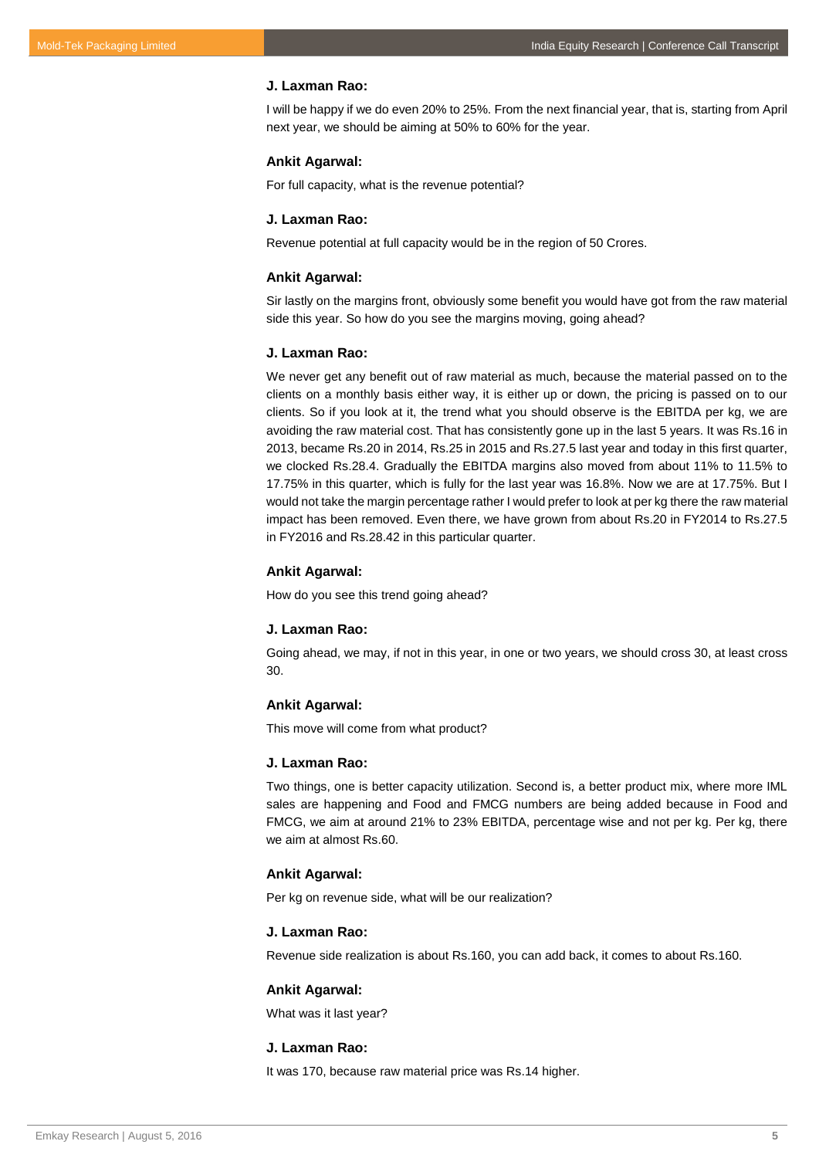## **J. Laxman Rao:**

I will be happy if we do even 20% to 25%. From the next financial year, that is, starting from April next year, we should be aiming at 50% to 60% for the year.

#### **Ankit Agarwal:**

For full capacity, what is the revenue potential?

#### **J. Laxman Rao:**

Revenue potential at full capacity would be in the region of 50 Crores.

#### **Ankit Agarwal:**

Sir lastly on the margins front, obviously some benefit you would have got from the raw material side this year. So how do you see the margins moving, going ahead?

## **J. Laxman Rao:**

We never get any benefit out of raw material as much, because the material passed on to the clients on a monthly basis either way, it is either up or down, the pricing is passed on to our clients. So if you look at it, the trend what you should observe is the EBITDA per kg, we are avoiding the raw material cost. That has consistently gone up in the last 5 years. It was Rs.16 in 2013, became Rs.20 in 2014, Rs.25 in 2015 and Rs.27.5 last year and today in this first quarter, we clocked Rs.28.4. Gradually the EBITDA margins also moved from about 11% to 11.5% to 17.75% in this quarter, which is fully for the last year was 16.8%. Now we are at 17.75%. But I would not take the margin percentage rather I would prefer to look at per kg there the raw material impact has been removed. Even there, we have grown from about Rs.20 in FY2014 to Rs.27.5 in FY2016 and Rs.28.42 in this particular quarter.

#### **Ankit Agarwal:**

How do you see this trend going ahead?

#### **J. Laxman Rao:**

Going ahead, we may, if not in this year, in one or two years, we should cross 30, at least cross 30.

#### **Ankit Agarwal:**

This move will come from what product?

#### **J. Laxman Rao:**

Two things, one is better capacity utilization. Second is, a better product mix, where more IML sales are happening and Food and FMCG numbers are being added because in Food and FMCG, we aim at around 21% to 23% EBITDA, percentage wise and not per kg. Per kg, there we aim at almost Rs.60.

## **Ankit Agarwal:**

Per kg on revenue side, what will be our realization?

#### **J. Laxman Rao:**

Revenue side realization is about Rs.160, you can add back, it comes to about Rs.160.

#### **Ankit Agarwal:**

What was it last year?

## **J. Laxman Rao:**

It was 170, because raw material price was Rs.14 higher.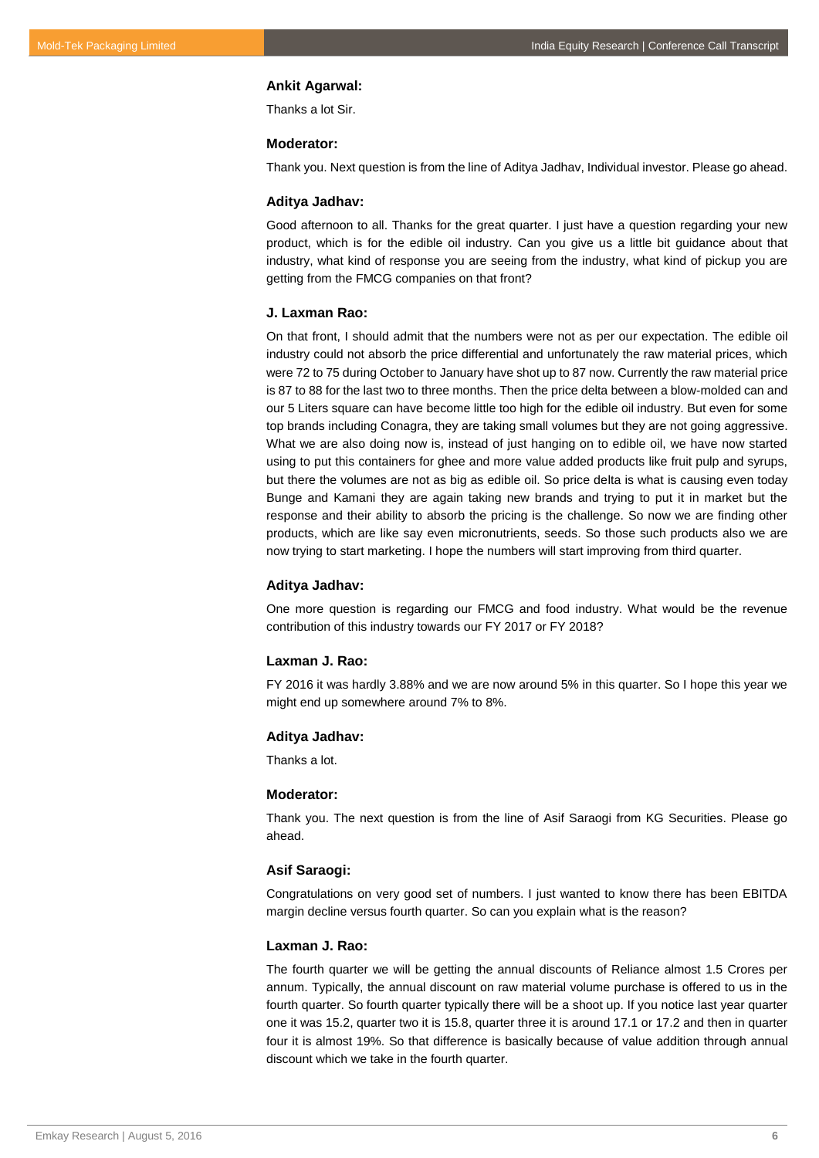#### **Ankit Agarwal:**

Thanks a lot Sir.

## **Moderator:**

Thank you. Next question is from the line of Aditya Jadhav, Individual investor. Please go ahead.

## **Aditya Jadhav:**

Good afternoon to all. Thanks for the great quarter. I just have a question regarding your new product, which is for the edible oil industry. Can you give us a little bit guidance about that industry, what kind of response you are seeing from the industry, what kind of pickup you are getting from the FMCG companies on that front?

## **J. Laxman Rao:**

On that front, I should admit that the numbers were not as per our expectation. The edible oil industry could not absorb the price differential and unfortunately the raw material prices, which were 72 to 75 during October to January have shot up to 87 now. Currently the raw material price is 87 to 88 for the last two to three months. Then the price delta between a blow-molded can and our 5 Liters square can have become little too high for the edible oil industry. But even for some top brands including Conagra, they are taking small volumes but they are not going aggressive. What we are also doing now is, instead of just hanging on to edible oil, we have now started using to put this containers for ghee and more value added products like fruit pulp and syrups, but there the volumes are not as big as edible oil. So price delta is what is causing even today Bunge and Kamani they are again taking new brands and trying to put it in market but the response and their ability to absorb the pricing is the challenge. So now we are finding other products, which are like say even micronutrients, seeds. So those such products also we are now trying to start marketing. I hope the numbers will start improving from third quarter.

#### **Aditya Jadhav:**

One more question is regarding our FMCG and food industry. What would be the revenue contribution of this industry towards our FY 2017 or FY 2018?

## **Laxman J. Rao:**

FY 2016 it was hardly 3.88% and we are now around 5% in this quarter. So I hope this year we might end up somewhere around 7% to 8%.

#### **Aditya Jadhav:**

Thanks a lot.

#### **Moderator:**

Thank you. The next question is from the line of Asif Saraogi from KG Securities. Please go ahead.

## **Asif Saraogi:**

Congratulations on very good set of numbers. I just wanted to know there has been EBITDA margin decline versus fourth quarter. So can you explain what is the reason?

#### **Laxman J. Rao:**

The fourth quarter we will be getting the annual discounts of Reliance almost 1.5 Crores per annum. Typically, the annual discount on raw material volume purchase is offered to us in the fourth quarter. So fourth quarter typically there will be a shoot up. If you notice last year quarter one it was 15.2, quarter two it is 15.8, quarter three it is around 17.1 or 17.2 and then in quarter four it is almost 19%. So that difference is basically because of value addition through annual discount which we take in the fourth quarter.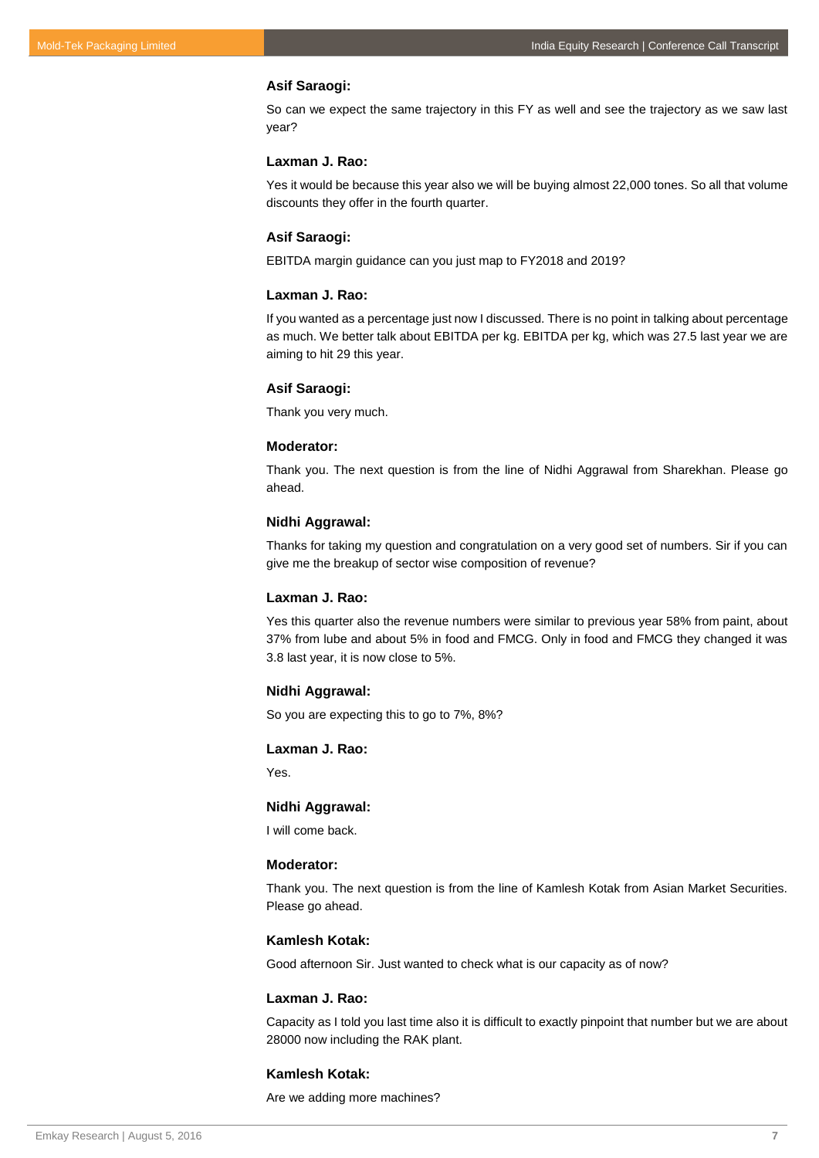## **Asif Saraogi:**

So can we expect the same trajectory in this FY as well and see the trajectory as we saw last year?

## **Laxman J. Rao:**

Yes it would be because this year also we will be buying almost 22,000 tones. So all that volume discounts they offer in the fourth quarter.

## **Asif Saraogi:**

EBITDA margin guidance can you just map to FY2018 and 2019?

## **Laxman J. Rao:**

If you wanted as a percentage just now I discussed. There is no point in talking about percentage as much. We better talk about EBITDA per kg. EBITDA per kg, which was 27.5 last year we are aiming to hit 29 this year.

#### **Asif Saraogi:**

Thank you very much.

## **Moderator:**

Thank you. The next question is from the line of Nidhi Aggrawal from Sharekhan. Please go ahead.

## **Nidhi Aggrawal:**

Thanks for taking my question and congratulation on a very good set of numbers. Sir if you can give me the breakup of sector wise composition of revenue?

#### **Laxman J. Rao:**

Yes this quarter also the revenue numbers were similar to previous year 58% from paint, about 37% from lube and about 5% in food and FMCG. Only in food and FMCG they changed it was 3.8 last year, it is now close to 5%.

## **Nidhi Aggrawal:**

So you are expecting this to go to 7%, 8%?

## **Laxman J. Rao:**

Yes.

## **Nidhi Aggrawal:**

I will come back.

## **Moderator:**

Thank you. The next question is from the line of Kamlesh Kotak from Asian Market Securities. Please go ahead.

#### **Kamlesh Kotak:**

Good afternoon Sir. Just wanted to check what is our capacity as of now?

## **Laxman J. Rao:**

Capacity as I told you last time also it is difficult to exactly pinpoint that number but we are about 28000 now including the RAK plant.

## **Kamlesh Kotak:**

Are we adding more machines?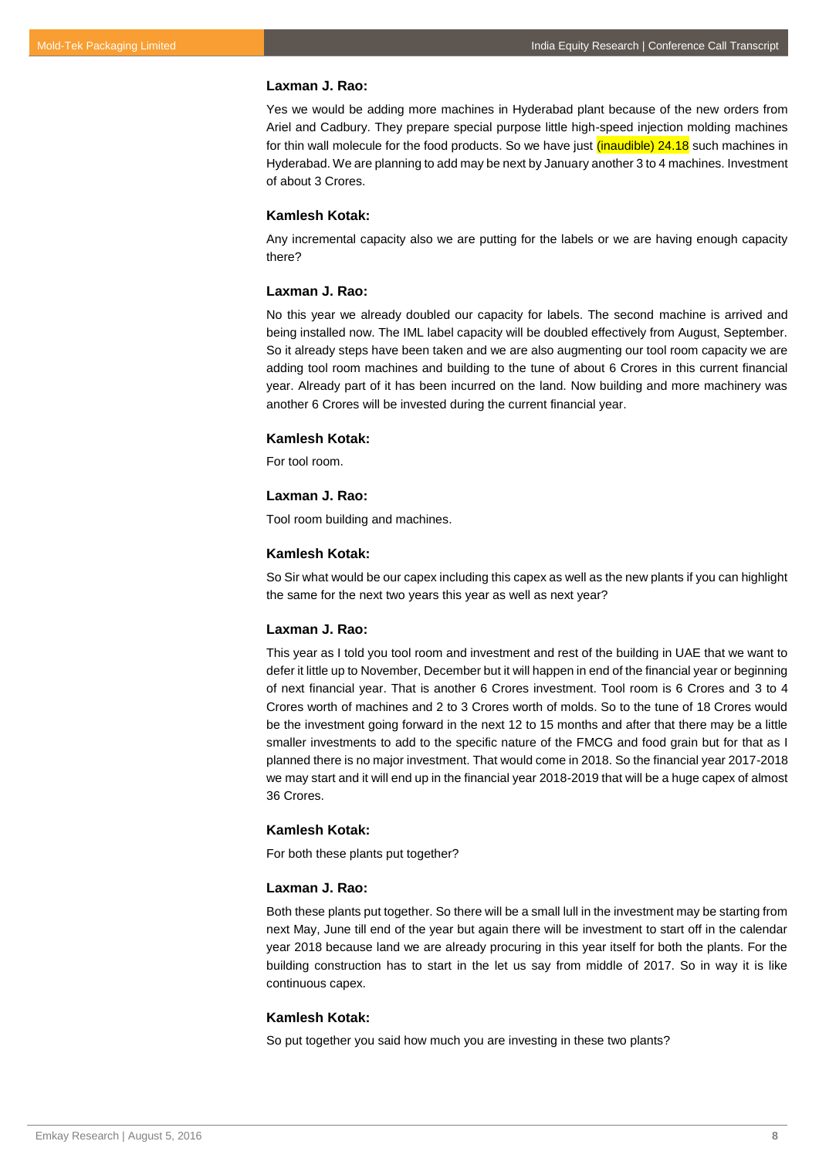Yes we would be adding more machines in Hyderabad plant because of the new orders from Ariel and Cadbury. They prepare special purpose little high-speed injection molding machines for thin wall molecule for the food products. So we have just *(inaudible)* 24.18 such machines in Hyderabad. We are planning to add may be next by January another 3 to 4 machines. Investment of about 3 Crores.

## **Kamlesh Kotak:**

Any incremental capacity also we are putting for the labels or we are having enough capacity there?

#### **Laxman J. Rao:**

No this year we already doubled our capacity for labels. The second machine is arrived and being installed now. The IML label capacity will be doubled effectively from August, September. So it already steps have been taken and we are also augmenting our tool room capacity we are adding tool room machines and building to the tune of about 6 Crores in this current financial year. Already part of it has been incurred on the land. Now building and more machinery was another 6 Crores will be invested during the current financial year.

#### **Kamlesh Kotak:**

For tool room.

#### **Laxman J. Rao:**

Tool room building and machines.

#### **Kamlesh Kotak:**

So Sir what would be our capex including this capex as well as the new plants if you can highlight the same for the next two years this year as well as next year?

#### **Laxman J. Rao:**

This year as I told you tool room and investment and rest of the building in UAE that we want to defer it little up to November, December but it will happen in end of the financial year or beginning of next financial year. That is another 6 Crores investment. Tool room is 6 Crores and 3 to 4 Crores worth of machines and 2 to 3 Crores worth of molds. So to the tune of 18 Crores would be the investment going forward in the next 12 to 15 months and after that there may be a little smaller investments to add to the specific nature of the FMCG and food grain but for that as I planned there is no major investment. That would come in 2018. So the financial year 2017-2018 we may start and it will end up in the financial year 2018-2019 that will be a huge capex of almost 36 Crores.

## **Kamlesh Kotak:**

For both these plants put together?

#### **Laxman J. Rao:**

Both these plants put together. So there will be a small lull in the investment may be starting from next May, June till end of the year but again there will be investment to start off in the calendar year 2018 because land we are already procuring in this year itself for both the plants. For the building construction has to start in the let us say from middle of 2017. So in way it is like continuous capex.

## **Kamlesh Kotak:**

So put together you said how much you are investing in these two plants?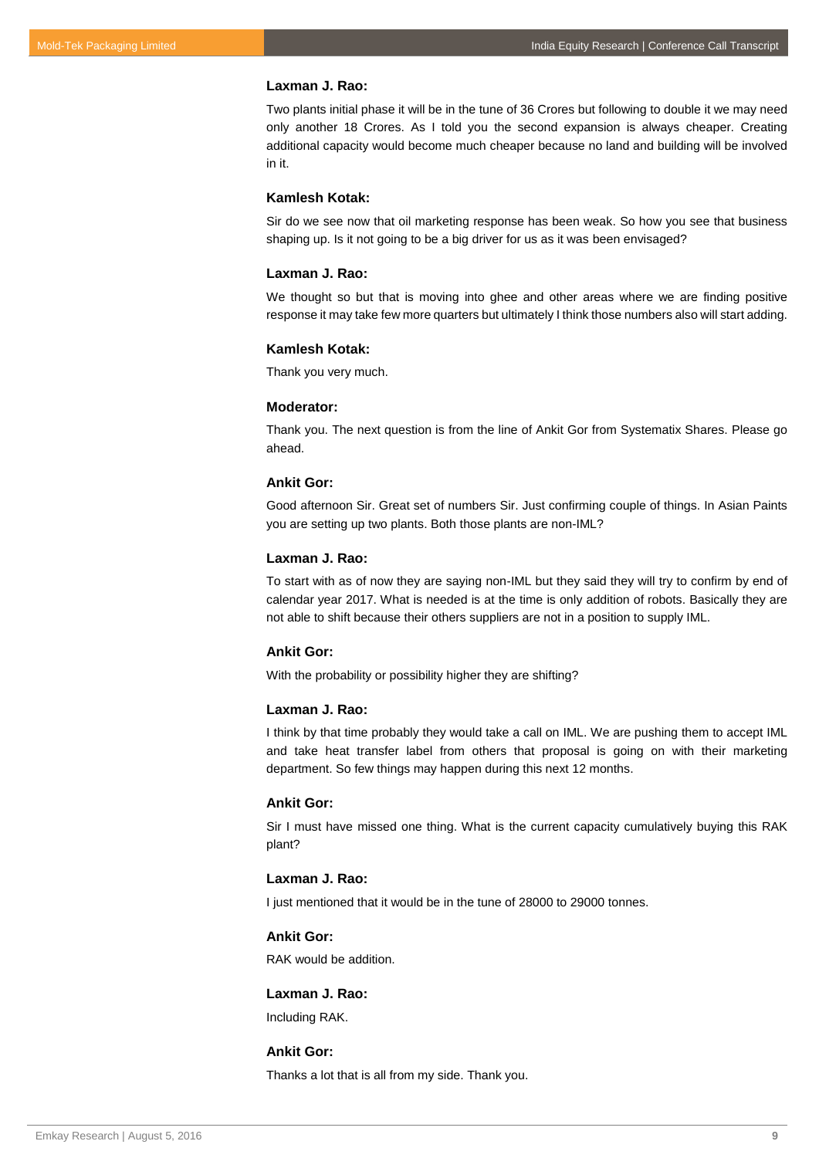Two plants initial phase it will be in the tune of 36 Crores but following to double it we may need only another 18 Crores. As I told you the second expansion is always cheaper. Creating additional capacity would become much cheaper because no land and building will be involved in it.

## **Kamlesh Kotak:**

Sir do we see now that oil marketing response has been weak. So how you see that business shaping up. Is it not going to be a big driver for us as it was been envisaged?

#### **Laxman J. Rao:**

We thought so but that is moving into ghee and other areas where we are finding positive response it may take few more quarters but ultimately I think those numbers also will start adding.

#### **Kamlesh Kotak:**

Thank you very much.

## **Moderator:**

Thank you. The next question is from the line of Ankit Gor from Systematix Shares. Please go ahead.

#### **Ankit Gor:**

Good afternoon Sir. Great set of numbers Sir. Just confirming couple of things. In Asian Paints you are setting up two plants. Both those plants are non-IML?

#### **Laxman J. Rao:**

To start with as of now they are saying non-IML but they said they will try to confirm by end of calendar year 2017. What is needed is at the time is only addition of robots. Basically they are not able to shift because their others suppliers are not in a position to supply IML.

## **Ankit Gor:**

With the probability or possibility higher they are shifting?

## **Laxman J. Rao:**

I think by that time probably they would take a call on IML. We are pushing them to accept IML and take heat transfer label from others that proposal is going on with their marketing department. So few things may happen during this next 12 months.

## **Ankit Gor:**

Sir I must have missed one thing. What is the current capacity cumulatively buying this RAK plant?

## **Laxman J. Rao:**

I just mentioned that it would be in the tune of 28000 to 29000 tonnes.

## **Ankit Gor:**

RAK would be addition.

## **Laxman J. Rao:**

Including RAK.

## **Ankit Gor:**

Thanks a lot that is all from my side. Thank you.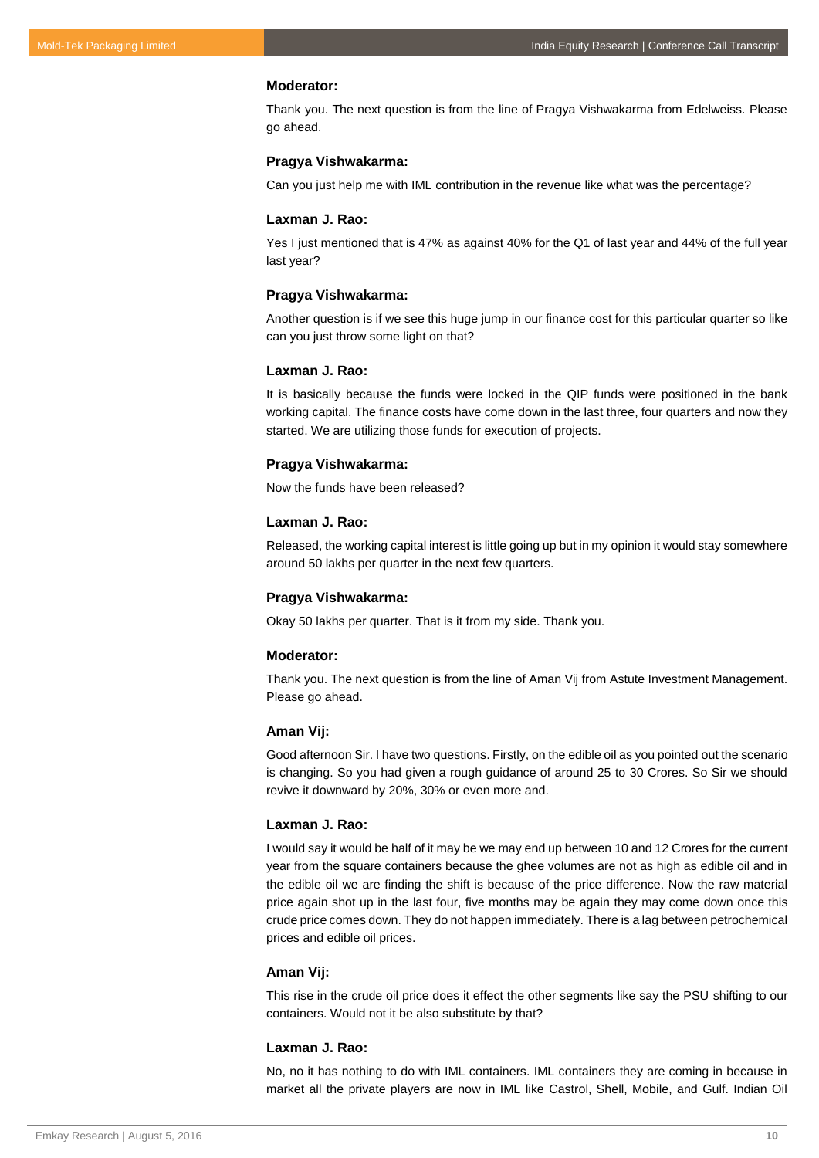#### **Moderator:**

Thank you. The next question is from the line of Pragya Vishwakarma from Edelweiss. Please go ahead.

#### **Pragya Vishwakarma:**

Can you just help me with IML contribution in the revenue like what was the percentage?

#### **Laxman J. Rao:**

Yes I just mentioned that is 47% as against 40% for the Q1 of last year and 44% of the full year last year?

#### **Pragya Vishwakarma:**

Another question is if we see this huge jump in our finance cost for this particular quarter so like can you just throw some light on that?

## **Laxman J. Rao:**

It is basically because the funds were locked in the QIP funds were positioned in the bank working capital. The finance costs have come down in the last three, four quarters and now they started. We are utilizing those funds for execution of projects.

#### **Pragya Vishwakarma:**

Now the funds have been released?

## **Laxman J. Rao:**

Released, the working capital interest is little going up but in my opinion it would stay somewhere around 50 lakhs per quarter in the next few quarters.

#### **Pragya Vishwakarma:**

Okay 50 lakhs per quarter. That is it from my side. Thank you.

## **Moderator:**

Thank you. The next question is from the line of Aman Vij from Astute Investment Management. Please go ahead.

#### **Aman Vij:**

Good afternoon Sir. I have two questions. Firstly, on the edible oil as you pointed out the scenario is changing. So you had given a rough guidance of around 25 to 30 Crores. So Sir we should revive it downward by 20%, 30% or even more and.

#### **Laxman J. Rao:**

I would say it would be half of it may be we may end up between 10 and 12 Crores for the current year from the square containers because the ghee volumes are not as high as edible oil and in the edible oil we are finding the shift is because of the price difference. Now the raw material price again shot up in the last four, five months may be again they may come down once this crude price comes down. They do not happen immediately. There is a lag between petrochemical prices and edible oil prices.

## **Aman Vij:**

This rise in the crude oil price does it effect the other segments like say the PSU shifting to our containers. Would not it be also substitute by that?

## **Laxman J. Rao:**

No, no it has nothing to do with IML containers. IML containers they are coming in because in market all the private players are now in IML like Castrol, Shell, Mobile, and Gulf. Indian Oil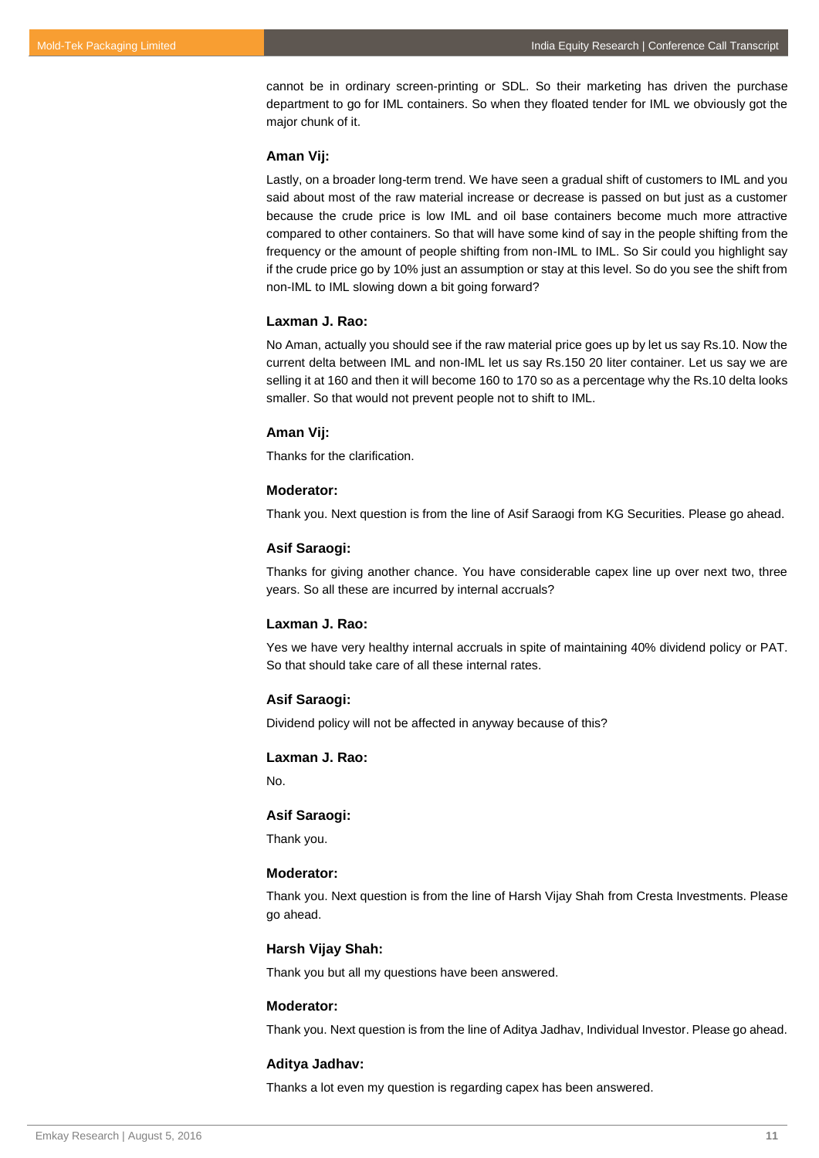cannot be in ordinary screen-printing or SDL. So their marketing has driven the purchase department to go for IML containers. So when they floated tender for IML we obviously got the major chunk of it.

## **Aman Vij:**

Lastly, on a broader long-term trend. We have seen a gradual shift of customers to IML and you said about most of the raw material increase or decrease is passed on but just as a customer because the crude price is low IML and oil base containers become much more attractive compared to other containers. So that will have some kind of say in the people shifting from the frequency or the amount of people shifting from non-IML to IML. So Sir could you highlight say if the crude price go by 10% just an assumption or stay at this level. So do you see the shift from non-IML to IML slowing down a bit going forward?

#### **Laxman J. Rao:**

No Aman, actually you should see if the raw material price goes up by let us say Rs.10. Now the current delta between IML and non-IML let us say Rs.150 20 liter container. Let us say we are selling it at 160 and then it will become 160 to 170 so as a percentage why the Rs.10 delta looks smaller. So that would not prevent people not to shift to IML.

#### **Aman Vij:**

Thanks for the clarification.

## **Moderator:**

Thank you. Next question is from the line of Asif Saraogi from KG Securities. Please go ahead.

#### **Asif Saraogi:**

Thanks for giving another chance. You have considerable capex line up over next two, three years. So all these are incurred by internal accruals?

#### **Laxman J. Rao:**

Yes we have very healthy internal accruals in spite of maintaining 40% dividend policy or PAT. So that should take care of all these internal rates.

## **Asif Saraogi:**

Dividend policy will not be affected in anyway because of this?

## **Laxman J. Rao:**

No.

## **Asif Saraogi:**

Thank you.

## **Moderator:**

Thank you. Next question is from the line of Harsh Vijay Shah from Cresta Investments. Please go ahead.

## **Harsh Vijay Shah:**

Thank you but all my questions have been answered.

#### **Moderator:**

Thank you. Next question is from the line of Aditya Jadhav, Individual Investor. Please go ahead.

#### **Aditya Jadhav:**

Thanks a lot even my question is regarding capex has been answered.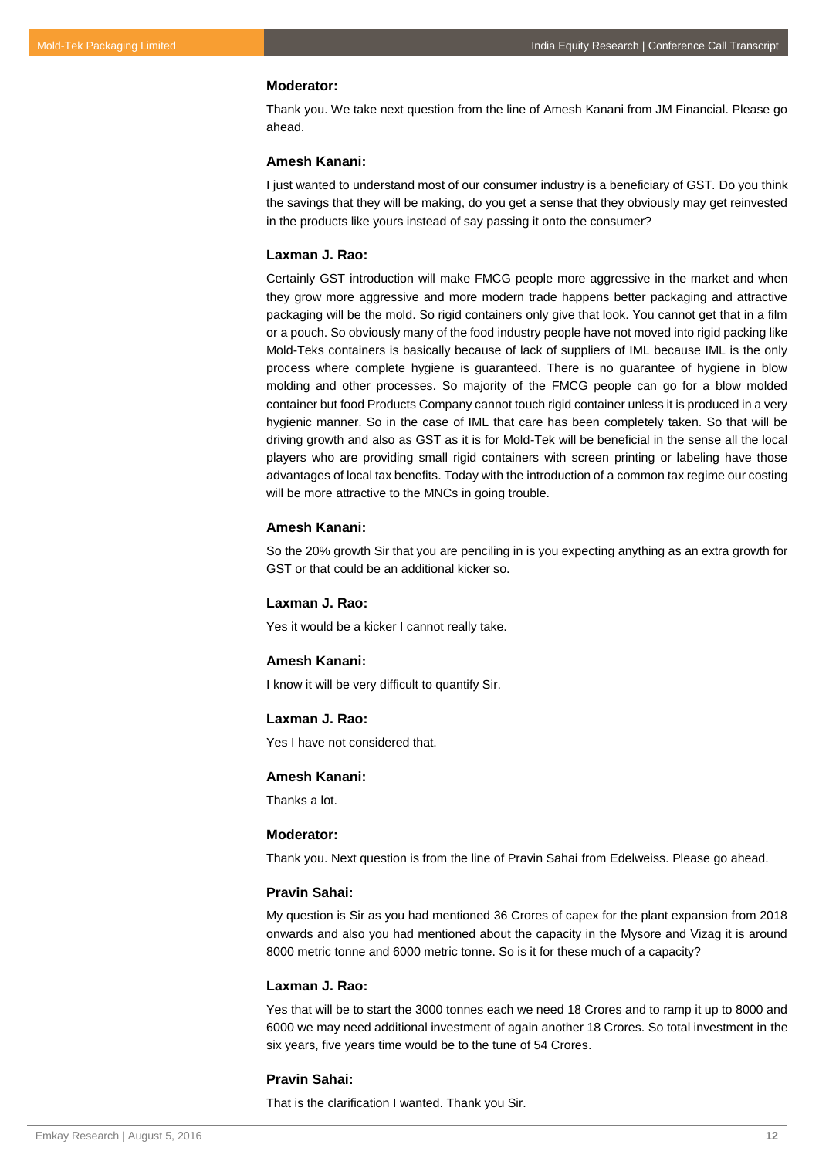#### **Moderator:**

Thank you. We take next question from the line of Amesh Kanani from JM Financial. Please go ahead.

## **Amesh Kanani:**

I just wanted to understand most of our consumer industry is a beneficiary of GST. Do you think the savings that they will be making, do you get a sense that they obviously may get reinvested in the products like yours instead of say passing it onto the consumer?

## **Laxman J. Rao:**

Certainly GST introduction will make FMCG people more aggressive in the market and when they grow more aggressive and more modern trade happens better packaging and attractive packaging will be the mold. So rigid containers only give that look. You cannot get that in a film or a pouch. So obviously many of the food industry people have not moved into rigid packing like Mold-Teks containers is basically because of lack of suppliers of IML because IML is the only process where complete hygiene is guaranteed. There is no guarantee of hygiene in blow molding and other processes. So majority of the FMCG people can go for a blow molded container but food Products Company cannot touch rigid container unless it is produced in a very hygienic manner. So in the case of IML that care has been completely taken. So that will be driving growth and also as GST as it is for Mold-Tek will be beneficial in the sense all the local players who are providing small rigid containers with screen printing or labeling have those advantages of local tax benefits. Today with the introduction of a common tax regime our costing will be more attractive to the MNCs in going trouble.

#### **Amesh Kanani:**

So the 20% growth Sir that you are penciling in is you expecting anything as an extra growth for GST or that could be an additional kicker so.

## **Laxman J. Rao:**

Yes it would be a kicker I cannot really take.

## **Amesh Kanani:**

I know it will be very difficult to quantify Sir.

## **Laxman J. Rao:**

Yes I have not considered that.

#### **Amesh Kanani:**

Thanks a lot.

## **Moderator:**

Thank you. Next question is from the line of Pravin Sahai from Edelweiss. Please go ahead.

#### **Pravin Sahai:**

My question is Sir as you had mentioned 36 Crores of capex for the plant expansion from 2018 onwards and also you had mentioned about the capacity in the Mysore and Vizag it is around 8000 metric tonne and 6000 metric tonne. So is it for these much of a capacity?

## **Laxman J. Rao:**

Yes that will be to start the 3000 tonnes each we need 18 Crores and to ramp it up to 8000 and 6000 we may need additional investment of again another 18 Crores. So total investment in the six years, five years time would be to the tune of 54 Crores.

## **Pravin Sahai:**

That is the clarification I wanted. Thank you Sir.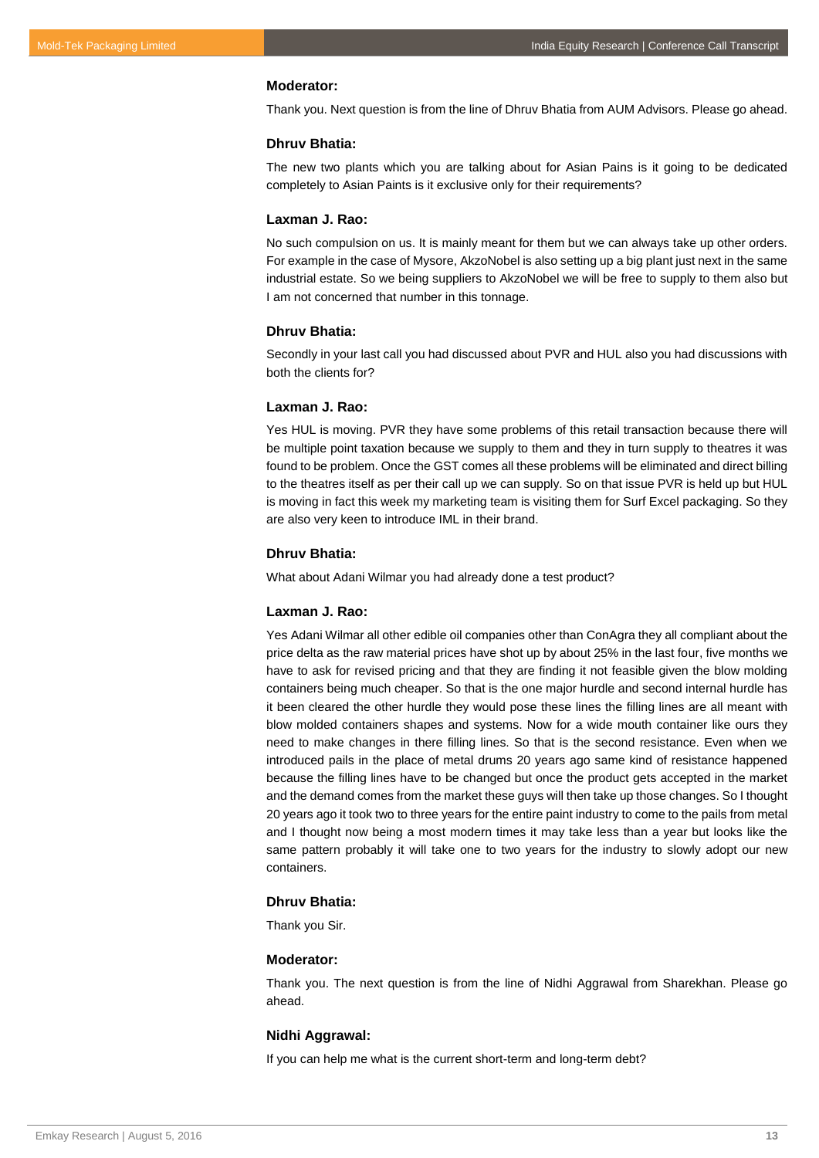#### **Moderator:**

Thank you. Next question is from the line of Dhruv Bhatia from AUM Advisors. Please go ahead.

## **Dhruv Bhatia:**

The new two plants which you are talking about for Asian Pains is it going to be dedicated completely to Asian Paints is it exclusive only for their requirements?

#### **Laxman J. Rao:**

No such compulsion on us. It is mainly meant for them but we can always take up other orders. For example in the case of Mysore, AkzoNobel is also setting up a big plant just next in the same industrial estate. So we being suppliers to AkzoNobel we will be free to supply to them also but I am not concerned that number in this tonnage.

#### **Dhruv Bhatia:**

Secondly in your last call you had discussed about PVR and HUL also you had discussions with both the clients for?

## **Laxman J. Rao:**

Yes HUL is moving. PVR they have some problems of this retail transaction because there will be multiple point taxation because we supply to them and they in turn supply to theatres it was found to be problem. Once the GST comes all these problems will be eliminated and direct billing to the theatres itself as per their call up we can supply. So on that issue PVR is held up but HUL is moving in fact this week my marketing team is visiting them for Surf Excel packaging. So they are also very keen to introduce IML in their brand.

## **Dhruv Bhatia:**

What about Adani Wilmar you had already done a test product?

#### **Laxman J. Rao:**

Yes Adani Wilmar all other edible oil companies other than ConAgra they all compliant about the price delta as the raw material prices have shot up by about 25% in the last four, five months we have to ask for revised pricing and that they are finding it not feasible given the blow molding containers being much cheaper. So that is the one major hurdle and second internal hurdle has it been cleared the other hurdle they would pose these lines the filling lines are all meant with blow molded containers shapes and systems. Now for a wide mouth container like ours they need to make changes in there filling lines. So that is the second resistance. Even when we introduced pails in the place of metal drums 20 years ago same kind of resistance happened because the filling lines have to be changed but once the product gets accepted in the market and the demand comes from the market these guys will then take up those changes. So I thought 20 years ago it took two to three years for the entire paint industry to come to the pails from metal and I thought now being a most modern times it may take less than a year but looks like the same pattern probably it will take one to two years for the industry to slowly adopt our new containers.

## **Dhruv Bhatia:**

Thank you Sir.

## **Moderator:**

Thank you. The next question is from the line of Nidhi Aggrawal from Sharekhan. Please go ahead.

## **Nidhi Aggrawal:**

If you can help me what is the current short-term and long-term debt?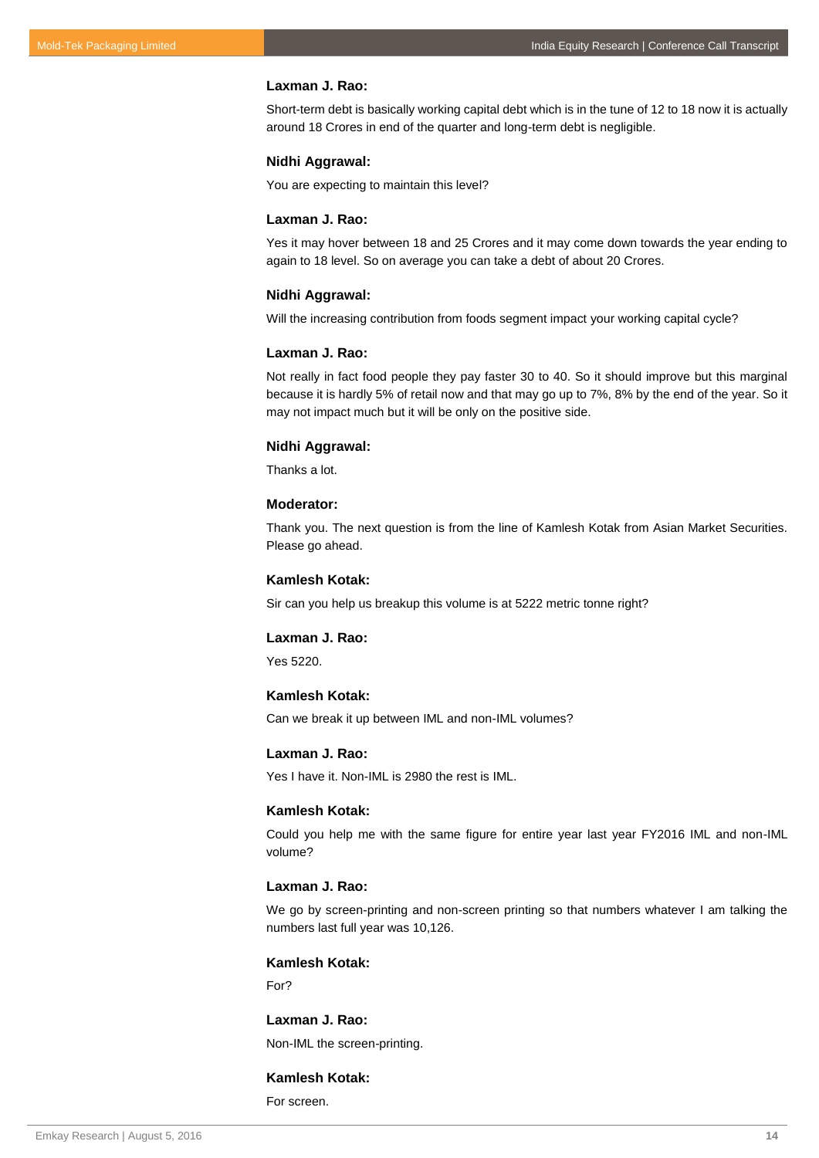Short-term debt is basically working capital debt which is in the tune of 12 to 18 now it is actually around 18 Crores in end of the quarter and long-term debt is negligible.

#### **Nidhi Aggrawal:**

You are expecting to maintain this level?

## **Laxman J. Rao:**

Yes it may hover between 18 and 25 Crores and it may come down towards the year ending to again to 18 level. So on average you can take a debt of about 20 Crores.

## **Nidhi Aggrawal:**

Will the increasing contribution from foods segment impact your working capital cycle?

## **Laxman J. Rao:**

Not really in fact food people they pay faster 30 to 40. So it should improve but this marginal because it is hardly 5% of retail now and that may go up to 7%, 8% by the end of the year. So it may not impact much but it will be only on the positive side.

#### **Nidhi Aggrawal:**

Thanks a lot.

## **Moderator:**

Thank you. The next question is from the line of Kamlesh Kotak from Asian Market Securities. Please go ahead.

## **Kamlesh Kotak:**

Sir can you help us breakup this volume is at 5222 metric tonne right?

## **Laxman J. Rao:**

Yes 5220.

## **Kamlesh Kotak:**

Can we break it up between IML and non-IML volumes?

## **Laxman J. Rao:**

Yes I have it. Non-IML is 2980 the rest is IML.

## **Kamlesh Kotak:**

Could you help me with the same figure for entire year last year FY2016 IML and non-IML volume?

#### **Laxman J. Rao:**

We go by screen-printing and non-screen printing so that numbers whatever I am talking the numbers last full year was 10,126.

## **Kamlesh Kotak:**

For?

## **Laxman J. Rao:** Non-IML the screen-printing.

## **Kamlesh Kotak:**

For screen.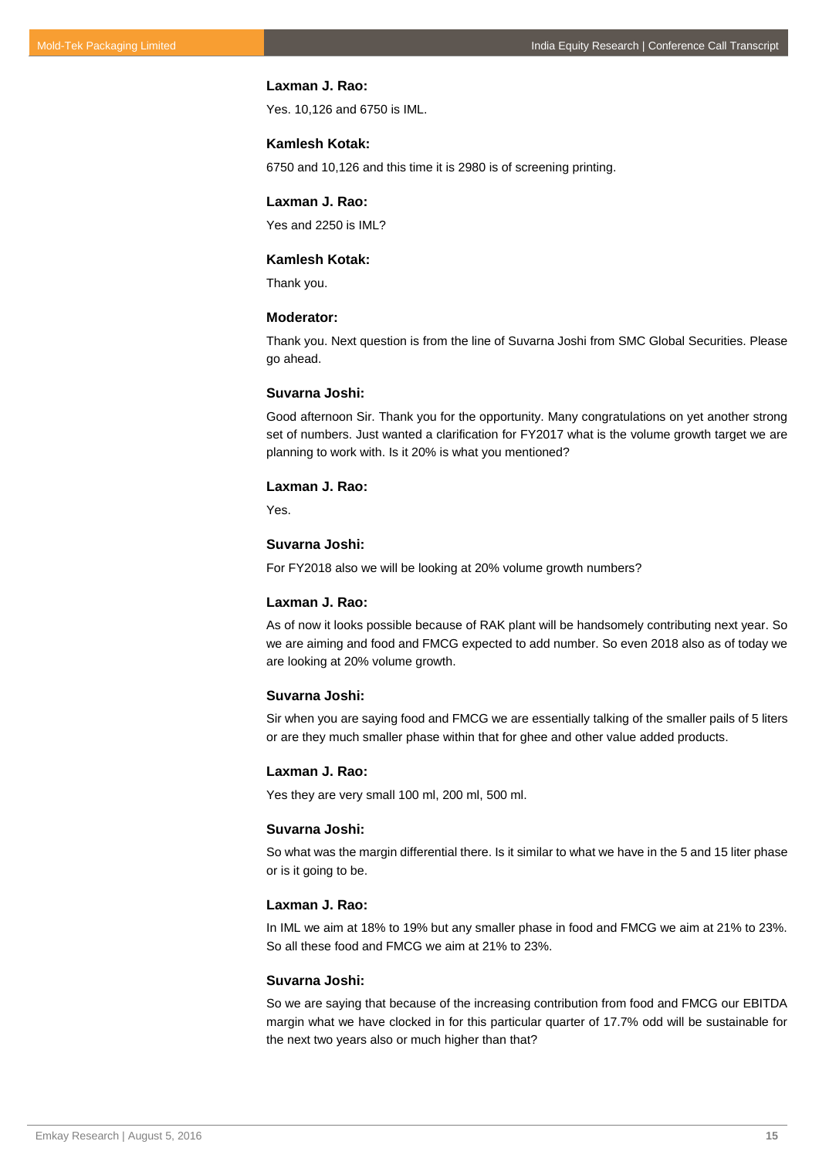Yes. 10,126 and 6750 is IML.

## **Kamlesh Kotak:**

6750 and 10,126 and this time it is 2980 is of screening printing.

## **Laxman J. Rao:**

Yes and 2250 is IML?

## **Kamlesh Kotak:**

Thank you.

## **Moderator:**

Thank you. Next question is from the line of Suvarna Joshi from SMC Global Securities. Please go ahead.

#### **Suvarna Joshi:**

Good afternoon Sir. Thank you for the opportunity. Many congratulations on yet another strong set of numbers. Just wanted a clarification for FY2017 what is the volume growth target we are planning to work with. Is it 20% is what you mentioned?

#### **Laxman J. Rao:**

Yes.

## **Suvarna Joshi:**

For FY2018 also we will be looking at 20% volume growth numbers?

#### **Laxman J. Rao:**

As of now it looks possible because of RAK plant will be handsomely contributing next year. So we are aiming and food and FMCG expected to add number. So even 2018 also as of today we are looking at 20% volume growth.

## **Suvarna Joshi:**

Sir when you are saying food and FMCG we are essentially talking of the smaller pails of 5 liters or are they much smaller phase within that for ghee and other value added products.

#### **Laxman J. Rao:**

Yes they are very small 100 ml, 200 ml, 500 ml.

#### **Suvarna Joshi:**

So what was the margin differential there. Is it similar to what we have in the 5 and 15 liter phase or is it going to be.

## **Laxman J. Rao:**

In IML we aim at 18% to 19% but any smaller phase in food and FMCG we aim at 21% to 23%. So all these food and FMCG we aim at 21% to 23%.

#### **Suvarna Joshi:**

So we are saying that because of the increasing contribution from food and FMCG our EBITDA margin what we have clocked in for this particular quarter of 17.7% odd will be sustainable for the next two years also or much higher than that?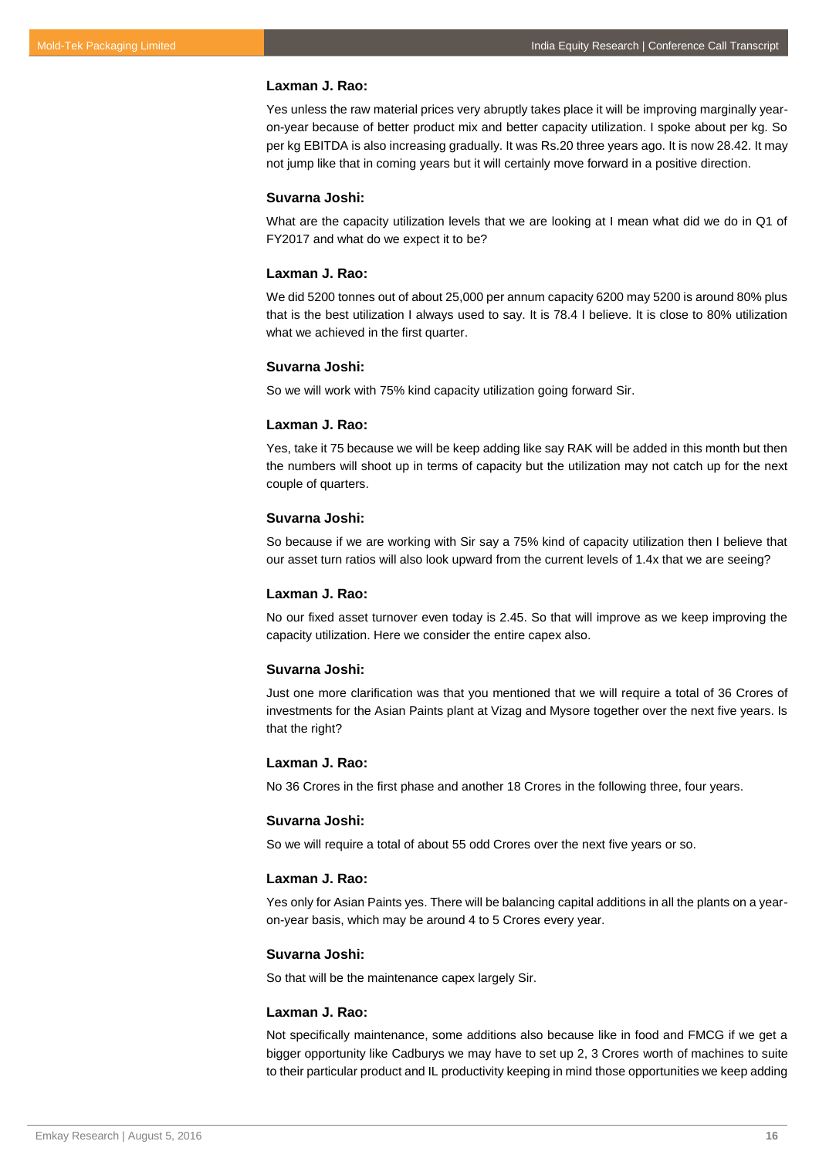Yes unless the raw material prices very abruptly takes place it will be improving marginally yearon-year because of better product mix and better capacity utilization. I spoke about per kg. So per kg EBITDA is also increasing gradually. It was Rs.20 three years ago. It is now 28.42. It may not jump like that in coming years but it will certainly move forward in a positive direction.

## **Suvarna Joshi:**

What are the capacity utilization levels that we are looking at I mean what did we do in Q1 of FY2017 and what do we expect it to be?

#### **Laxman J. Rao:**

We did 5200 tonnes out of about 25,000 per annum capacity 6200 may 5200 is around 80% plus that is the best utilization I always used to say. It is 78.4 I believe. It is close to 80% utilization what we achieved in the first quarter.

#### **Suvarna Joshi:**

So we will work with 75% kind capacity utilization going forward Sir.

#### **Laxman J. Rao:**

Yes, take it 75 because we will be keep adding like say RAK will be added in this month but then the numbers will shoot up in terms of capacity but the utilization may not catch up for the next couple of quarters.

## **Suvarna Joshi:**

So because if we are working with Sir say a 75% kind of capacity utilization then I believe that our asset turn ratios will also look upward from the current levels of 1.4x that we are seeing?

#### **Laxman J. Rao:**

No our fixed asset turnover even today is 2.45. So that will improve as we keep improving the capacity utilization. Here we consider the entire capex also.

#### **Suvarna Joshi:**

Just one more clarification was that you mentioned that we will require a total of 36 Crores of investments for the Asian Paints plant at Vizag and Mysore together over the next five years. Is that the right?

#### **Laxman J. Rao:**

No 36 Crores in the first phase and another 18 Crores in the following three, four years.

#### **Suvarna Joshi:**

So we will require a total of about 55 odd Crores over the next five years or so.

## **Laxman J. Rao:**

Yes only for Asian Paints yes. There will be balancing capital additions in all the plants on a yearon-year basis, which may be around 4 to 5 Crores every year.

## **Suvarna Joshi:**

So that will be the maintenance capex largely Sir.

#### **Laxman J. Rao:**

Not specifically maintenance, some additions also because like in food and FMCG if we get a bigger opportunity like Cadburys we may have to set up 2, 3 Crores worth of machines to suite to their particular product and IL productivity keeping in mind those opportunities we keep adding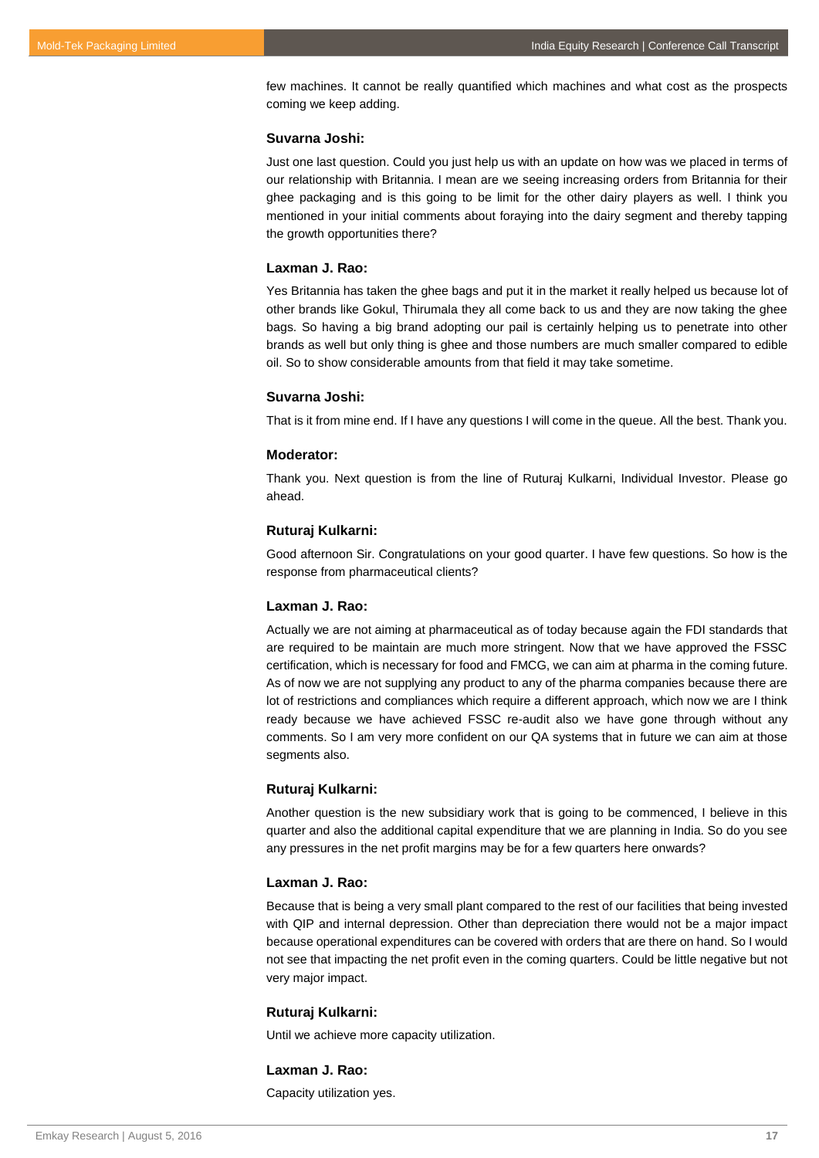few machines. It cannot be really quantified which machines and what cost as the prospects coming we keep adding.

## **Suvarna Joshi:**

Just one last question. Could you just help us with an update on how was we placed in terms of our relationship with Britannia. I mean are we seeing increasing orders from Britannia for their ghee packaging and is this going to be limit for the other dairy players as well. I think you mentioned in your initial comments about foraying into the dairy segment and thereby tapping the growth opportunities there?

## **Laxman J. Rao:**

Yes Britannia has taken the ghee bags and put it in the market it really helped us because lot of other brands like Gokul, Thirumala they all come back to us and they are now taking the ghee bags. So having a big brand adopting our pail is certainly helping us to penetrate into other brands as well but only thing is ghee and those numbers are much smaller compared to edible oil. So to show considerable amounts from that field it may take sometime.

## **Suvarna Joshi:**

That is it from mine end. If I have any questions I will come in the queue. All the best. Thank you.

#### **Moderator:**

Thank you. Next question is from the line of Ruturaj Kulkarni, Individual Investor. Please go ahead.

#### **Ruturaj Kulkarni:**

Good afternoon Sir. Congratulations on your good quarter. I have few questions. So how is the response from pharmaceutical clients?

#### **Laxman J. Rao:**

Actually we are not aiming at pharmaceutical as of today because again the FDI standards that are required to be maintain are much more stringent. Now that we have approved the FSSC certification, which is necessary for food and FMCG, we can aim at pharma in the coming future. As of now we are not supplying any product to any of the pharma companies because there are lot of restrictions and compliances which require a different approach, which now we are I think ready because we have achieved FSSC re-audit also we have gone through without any comments. So I am very more confident on our QA systems that in future we can aim at those segments also.

#### **Ruturaj Kulkarni:**

Another question is the new subsidiary work that is going to be commenced, I believe in this quarter and also the additional capital expenditure that we are planning in India. So do you see any pressures in the net profit margins may be for a few quarters here onwards?

#### **Laxman J. Rao:**

Because that is being a very small plant compared to the rest of our facilities that being invested with QIP and internal depression. Other than depreciation there would not be a major impact because operational expenditures can be covered with orders that are there on hand. So I would not see that impacting the net profit even in the coming quarters. Could be little negative but not very major impact.

## **Ruturaj Kulkarni:**

Until we achieve more capacity utilization.

## **Laxman J. Rao:**

Capacity utilization yes.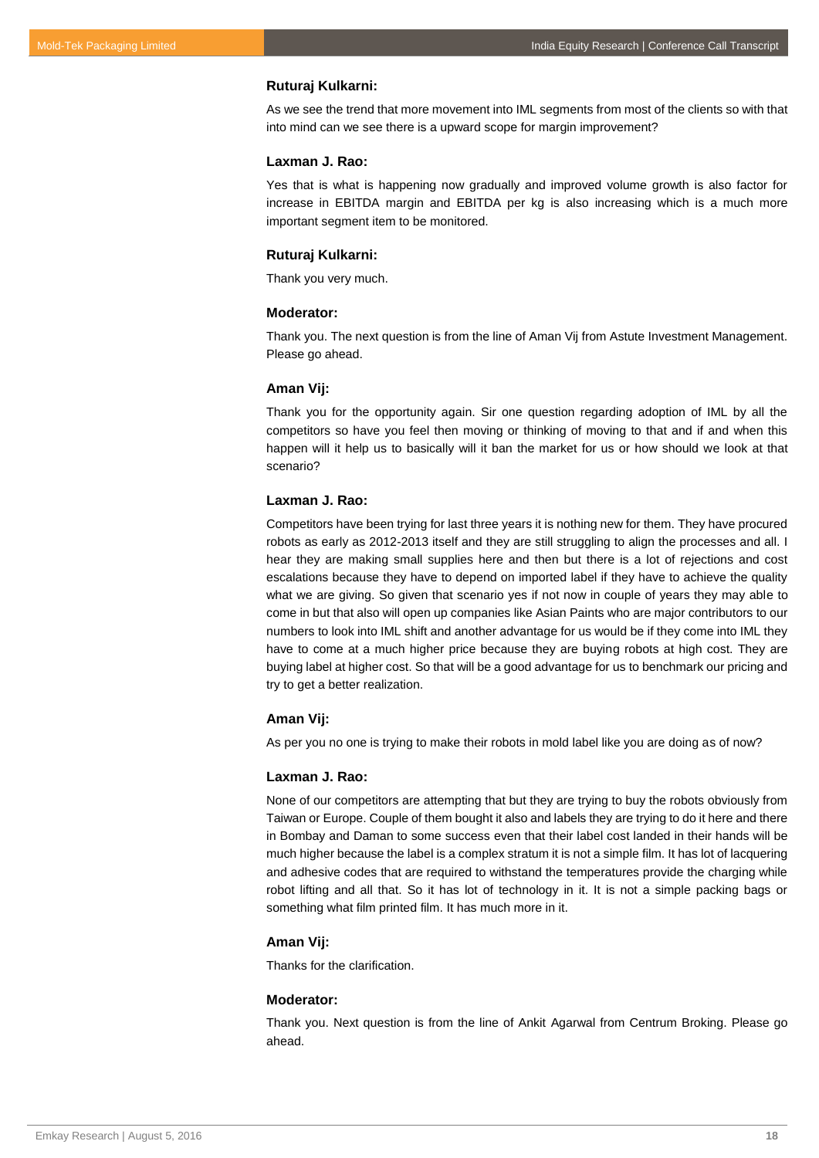## **Ruturaj Kulkarni:**

As we see the trend that more movement into IML segments from most of the clients so with that into mind can we see there is a upward scope for margin improvement?

#### **Laxman J. Rao:**

Yes that is what is happening now gradually and improved volume growth is also factor for increase in EBITDA margin and EBITDA per kg is also increasing which is a much more important segment item to be monitored.

#### **Ruturaj Kulkarni:**

Thank you very much.

#### **Moderator:**

Thank you. The next question is from the line of Aman Vij from Astute Investment Management. Please go ahead.

#### **Aman Vij:**

Thank you for the opportunity again. Sir one question regarding adoption of IML by all the competitors so have you feel then moving or thinking of moving to that and if and when this happen will it help us to basically will it ban the market for us or how should we look at that scenario?

#### **Laxman J. Rao:**

Competitors have been trying for last three years it is nothing new for them. They have procured robots as early as 2012-2013 itself and they are still struggling to align the processes and all. I hear they are making small supplies here and then but there is a lot of rejections and cost escalations because they have to depend on imported label if they have to achieve the quality what we are giving. So given that scenario yes if not now in couple of years they may able to come in but that also will open up companies like Asian Paints who are major contributors to our numbers to look into IML shift and another advantage for us would be if they come into IML they have to come at a much higher price because they are buying robots at high cost. They are buying label at higher cost. So that will be a good advantage for us to benchmark our pricing and try to get a better realization.

## **Aman Vij:**

As per you no one is trying to make their robots in mold label like you are doing as of now?

#### **Laxman J. Rao:**

None of our competitors are attempting that but they are trying to buy the robots obviously from Taiwan or Europe. Couple of them bought it also and labels they are trying to do it here and there in Bombay and Daman to some success even that their label cost landed in their hands will be much higher because the label is a complex stratum it is not a simple film. It has lot of lacquering and adhesive codes that are required to withstand the temperatures provide the charging while robot lifting and all that. So it has lot of technology in it. It is not a simple packing bags or something what film printed film. It has much more in it.

## **Aman Vij:**

Thanks for the clarification.

## **Moderator:**

Thank you. Next question is from the line of Ankit Agarwal from Centrum Broking. Please go ahead.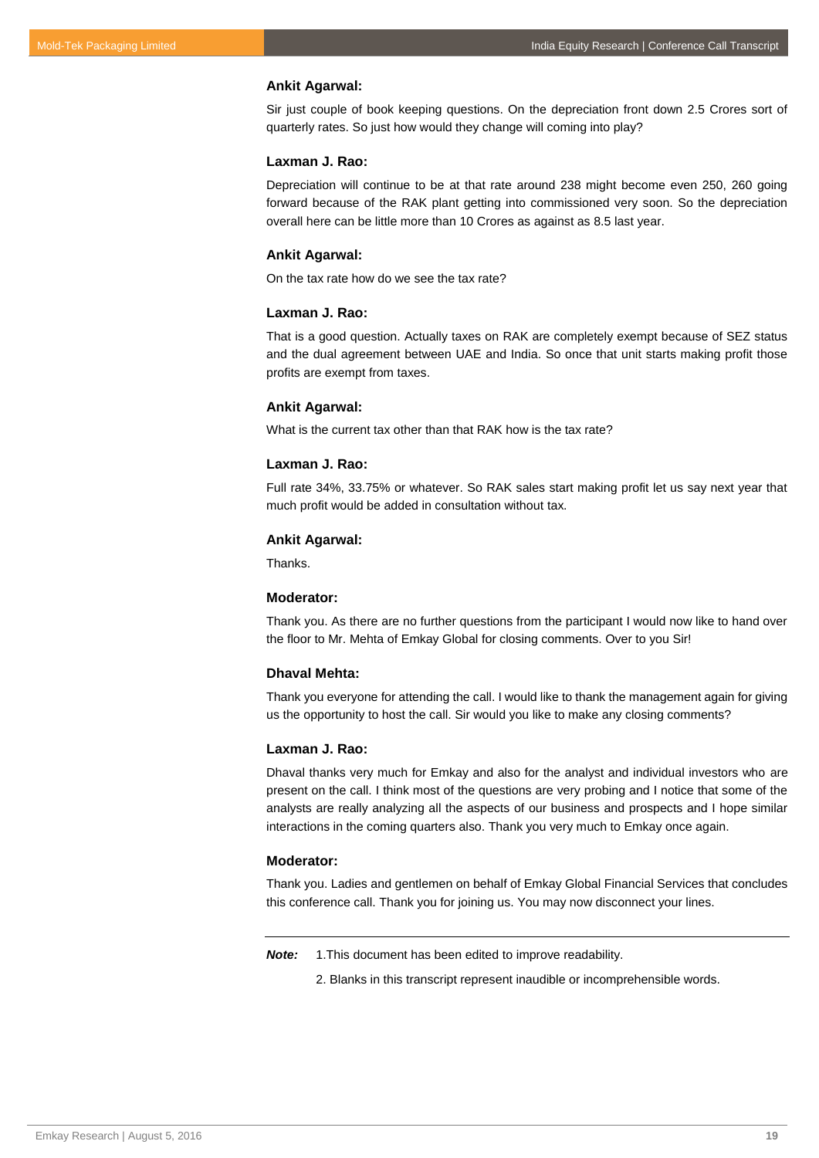#### **Ankit Agarwal:**

Sir just couple of book keeping questions. On the depreciation front down 2.5 Crores sort of quarterly rates. So just how would they change will coming into play?

## **Laxman J. Rao:**

Depreciation will continue to be at that rate around 238 might become even 250, 260 going forward because of the RAK plant getting into commissioned very soon. So the depreciation overall here can be little more than 10 Crores as against as 8.5 last year.

#### **Ankit Agarwal:**

On the tax rate how do we see the tax rate?

## **Laxman J. Rao:**

That is a good question. Actually taxes on RAK are completely exempt because of SEZ status and the dual agreement between UAE and India. So once that unit starts making profit those profits are exempt from taxes.

## **Ankit Agarwal:**

What is the current tax other than that RAK how is the tax rate?

## **Laxman J. Rao:**

Full rate 34%, 33.75% or whatever. So RAK sales start making profit let us say next year that much profit would be added in consultation without tax.

#### **Ankit Agarwal:**

Thanks.

#### **Moderator:**

Thank you. As there are no further questions from the participant I would now like to hand over the floor to Mr. Mehta of Emkay Global for closing comments. Over to you Sir!

#### **Dhaval Mehta:**

Thank you everyone for attending the call. I would like to thank the management again for giving us the opportunity to host the call. Sir would you like to make any closing comments?

## **Laxman J. Rao:**

Dhaval thanks very much for Emkay and also for the analyst and individual investors who are present on the call. I think most of the questions are very probing and I notice that some of the analysts are really analyzing all the aspects of our business and prospects and I hope similar interactions in the coming quarters also. Thank you very much to Emkay once again.

## **Moderator:**

Thank you. Ladies and gentlemen on behalf of Emkay Global Financial Services that concludes this conference call. Thank you for joining us. You may now disconnect your lines.

*Note:* 1.This document has been edited to improve readability.

2. Blanks in this transcript represent inaudible or incomprehensible words.